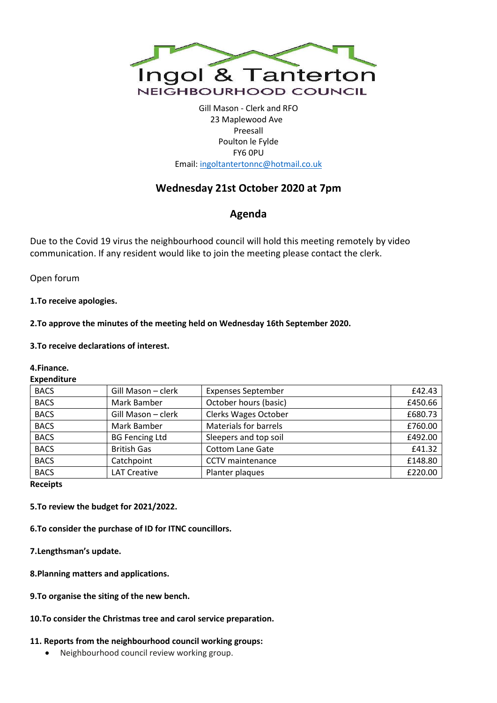

Gill Mason - Clerk and RFO 23 Maplewood Ave Preesall Poulton le Fylde FY6 0PU Email[: ingoltantertonnc@hotmail.co.uk](mailto:ingoltantertonnc@hotmail.co.uk)

# **Wednesday 21st October 2020 at 7pm**

**Agenda**

Due to the Covid 19 virus the neighbourhood council will hold this meeting remotely by video communication. If any resident would like to join the meeting please contact the clerk.

Open forum

**1.To receive apologies.**

**2.To approve the minutes of the meeting held on Wednesday 16th September 2020.**

# **3.To receive declarations of interest.**

# **4.Finance.**

#### **Expenditure**

| <b>BACS</b> | Gill Mason - clerk    | <b>Expenses September</b>    | £42.43  |
|-------------|-----------------------|------------------------------|---------|
| <b>BACS</b> | Mark Bamber           | October hours (basic)        | £450.66 |
| <b>BACS</b> | Gill Mason - clerk    | <b>Clerks Wages October</b>  | £680.73 |
| <b>BACS</b> | Mark Bamber           | <b>Materials for barrels</b> | £760.00 |
| <b>BACS</b> | <b>BG Fencing Ltd</b> | Sleepers and top soil        | £492.00 |
| <b>BACS</b> | <b>British Gas</b>    | <b>Cottom Lane Gate</b>      | £41.32  |
| <b>BACS</b> | Catchpoint            | <b>CCTV</b> maintenance      | £148.80 |
| <b>BACS</b> | <b>LAT Creative</b>   | Planter plaques              | £220.00 |

**Receipts**

**5.To review the budget for 2021/2022.**

**6.To consider the purchase of ID for ITNC councillors.**

**7.Lengthsman's update.**

**8.Planning matters and applications.**

**9.To organise the siting of the new bench.**

**10.To consider the Christmas tree and carol service preparation.**

# **11. Reports from the neighbourhood council working groups:**

• Neighbourhood council review working group.